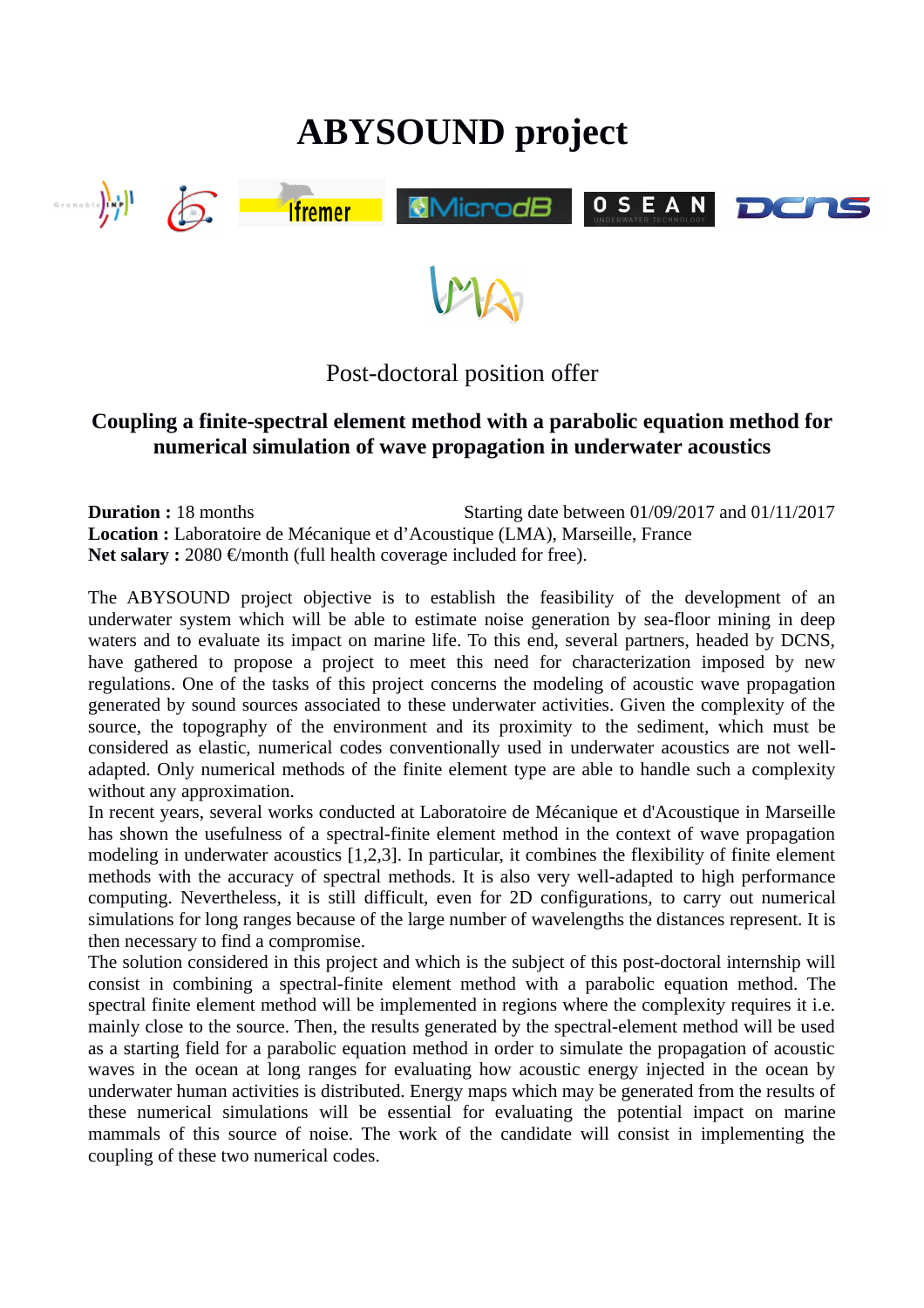# **ABYSOUND project**



Post-doctoral position offer

# **Coupling a finite-spectral element method with a parabolic equation method for numerical simulation of wave propagation in underwater acoustics**

**Duration :** 18 months Starting date between 01/09/2017 and 01/11/2017 **Location :** Laboratoire de Mécanique et d'Acoustique (LMA), Marseille, France **Net salary :** 2080 €/month (full health coverage included for free).

The ABYSOUND project objective is to establish the feasibility of the development of an underwater system which will be able to estimate noise generation by sea-floor mining in deep waters and to evaluate its impact on marine life. To this end, several partners, headed by DCNS, have gathered to propose a project to meet this need for characterization imposed by new regulations. One of the tasks of this project concerns the modeling of acoustic wave propagation generated by sound sources associated to these underwater activities. Given the complexity of the source, the topography of the environment and its proximity to the sediment, which must be considered as elastic, numerical codes conventionally used in underwater acoustics are not welladapted. Only numerical methods of the finite element type are able to handle such a complexity without any approximation.

In recent years, several works conducted at Laboratoire de Mécanique et d'Acoustique in Marseille has shown the usefulness of a spectral-finite element method in the context of wave propagation modeling in underwater acoustics [1,2,3]. In particular, it combines the flexibility of finite element methods with the accuracy of spectral methods. It is also very well-adapted to high performance computing. Nevertheless, it is still difficult, even for 2D configurations, to carry out numerical simulations for long ranges because of the large number of wavelengths the distances represent. It is then necessary to find a compromise.

The solution considered in this project and which is the subject of this post-doctoral internship will consist in combining a spectral-finite element method with a parabolic equation method. The spectral finite element method will be implemented in regions where the complexity requires it i.e. mainly close to the source. Then, the results generated by the spectral-element method will be used as a starting field for a parabolic equation method in order to simulate the propagation of acoustic waves in the ocean at long ranges for evaluating how acoustic energy injected in the ocean by underwater human activities is distributed. Energy maps which may be generated from the results of these numerical simulations will be essential for evaluating the potential impact on marine mammals of this source of noise. The work of the candidate will consist in implementing the coupling of these two numerical codes.